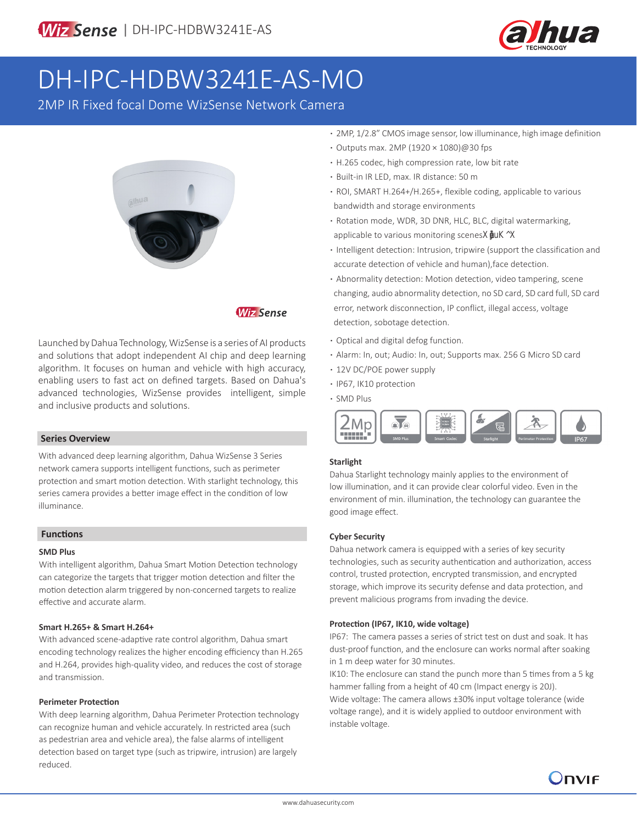

# DH-IPC-HDBW3241E-AS-MO

2MP IR Fixed focal Dome WizSense Network Camera



### **Wiz Sense**

Launched by Dahua Technology, WizSense is a series of AI products and solutions that adopt independent AI chip and deep learning algorithm. It focuses on human and vehicle with high accuracy, enabling users to fast act on defined targets. Based on Dahua's advanced technologies, WizSense provides intelligent, simple and inclusive products and solutions.

#### **Series Overview**

With advanced deep learning algorithm, Dahua WizSense 3 Series network camera supports intelligent functions, such as perimeter protection and smart motion detection. With starlight technology, this series camera provides a better image effect in the condition of low illuminance.

#### **Functions**

#### **SMD Plus**

With intelligent algorithm, Dahua Smart Motion Detection technology can categorize the targets that trigger motion detection and filter the motion detection alarm triggered by non-concerned targets to realize effective and accurate alarm.

#### **Smart H.265+ & Smart H.264+**

With advanced scene-adaptive rate control algorithm, Dahua smart encoding technology realizes the higher encoding efficiency than H.265 and H.264, provides high-quality video, and reduces the cost of storage and transmission.

#### **Perimeter Protection**

With deep learning algorithm, Dahua Perimeter Protection technology can recognize human and vehicle accurately. In restricted area (such as pedestrian area and vehicle area), the false alarms of intelligent detection based on target type (such as tripwire, intrusion) are largely reduced.

- **·** 2MP, 1/2.8" CMOS image sensor, low illuminance, high image definition
- **·** Outputs max. 2MP (1920 × 1080)@30 fps
- **·** H.265 codec, high compression rate, low bit rate
- **·** Built-in IR LED, max. IR distance: 50 m
- **·** ROI, SMART H.264+/H.265+, flexible coding, applicable to various bandwidth and storage environments
- **·** Rotation mode, WDR, 3D DNR, HLC, BLC, digital watermarking, applicable to various monitoring scenesXDKX
- **·** Intelligent detection: Intrusion, tripwire (support the classification and accurate detection of vehicle and human),face detection.
- **·** Abnormality detection: Motion detection, video tampering, scene changing, audio abnormality detection, no SD card, SD card full, SD card error, network disconnection, IP conflict, illegal access, voltage detection, sobotage detection.
- **·** Optical and digital defog function. id in ic o one.
- **·** Alarm: In, out; Audio: In, out; Supports max. 256 G Micro SD card
- **·** 12V DC/POE power supply
- **·** IP67, IK10 protection
- **·** SMD Plus



#### **Starlight**

Dahua Starlight technology mainly applies to the environment of low illumination, and it can provide clear colorful video. Even in the environment of min. illumination, the technology can guarantee the good image effect.

#### **Cyber Security**

Dahua network camera is equipped with a series of key security technologies, such as security authentication and authorization, access control, trusted protection, encrypted transmission, and encrypted storage, which improve its security defense and data protection, and prevent malicious programs from invading the device.

#### **Protection (IP67, IK10, wide voltage)**

IP67: The camera passes a series of strict test on dust and soak. It has dust-proof function, and the enclosure can works normal after soaking in 1 m deep water for 30 minutes.

IK10: The enclosure can stand the punch more than 5 times from a 5 kg hammer falling from a height of 40 cm (Impact energy is 20J). Wide voltage: The camera allows ±30% input voltage tolerance (wide voltage range), and it is widely applied to outdoor environment with instable voltage.

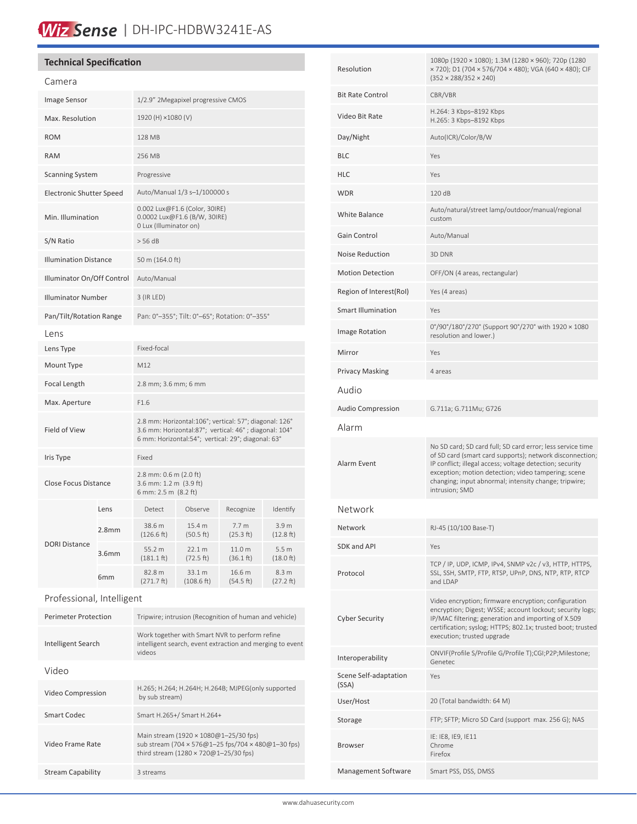# Wiz Sense | DH-IPC-HDBW3241E-AS

### **Technical Specification**

| Camera                          |                   |                                                                                                                                                                       |                      |                               |                               |
|---------------------------------|-------------------|-----------------------------------------------------------------------------------------------------------------------------------------------------------------------|----------------------|-------------------------------|-------------------------------|
| Image Sensor                    |                   | 1/2.9" 2Megapixel progressive CMOS                                                                                                                                    |                      |                               |                               |
| Max. Resolution                 |                   | 1920 (H) ×1080 (V)                                                                                                                                                    |                      |                               |                               |
| <b>ROM</b>                      |                   | 128 MB                                                                                                                                                                |                      |                               |                               |
| <b>RAM</b>                      |                   | 256 MB                                                                                                                                                                |                      |                               |                               |
| <b>Scanning System</b>          |                   | Progressive                                                                                                                                                           |                      |                               |                               |
| <b>Electronic Shutter Speed</b> |                   | Auto/Manual 1/3 s-1/100000 s                                                                                                                                          |                      |                               |                               |
| Min. Illumination               |                   | 0.002 Lux@F1.6 (Color, 30IRE)<br>0.0002 Lux@F1.6 (B/W, 30IRE)<br>0 Lux (Illuminator on)                                                                               |                      |                               |                               |
| S/N Ratio                       |                   | > 56 dB                                                                                                                                                               |                      |                               |                               |
| <b>Illumination Distance</b>    |                   | 50 m (164.0 ft)                                                                                                                                                       |                      |                               |                               |
| Illuminator On/Off Control      |                   | Auto/Manual                                                                                                                                                           |                      |                               |                               |
| <b>Illuminator Number</b>       |                   | 3 (IR LED)                                                                                                                                                            |                      |                               |                               |
| Pan/Tilt/Rotation Range         |                   | Pan: 0°-355°; Tilt: 0°-65°; Rotation: 0°-355°                                                                                                                         |                      |                               |                               |
| Lens                            |                   |                                                                                                                                                                       |                      |                               |                               |
| Lens Type                       |                   | Fixed-focal                                                                                                                                                           |                      |                               |                               |
| Mount Type                      |                   | M12                                                                                                                                                                   |                      |                               |                               |
| Focal Length                    |                   | 2.8 mm; 3.6 mm; 6 mm                                                                                                                                                  |                      |                               |                               |
| Max. Aperture                   |                   | F1.6                                                                                                                                                                  |                      |                               |                               |
| Field of View                   |                   | 2.8 mm: Horizontal:106°; vertical: 57°; diagonal: 126°<br>3.6 mm: Horizontal:87°; vertical: 46°; diagonal: 104°<br>6 mm: Horizontal:54°; vertical: 29°; diagonal: 63° |                      |                               |                               |
| Iris Type                       |                   | Fixed                                                                                                                                                                 |                      |                               |                               |
| Close Focus Distance            |                   | 2.8 mm: 0.6 m (2.0 ft)<br>3.6 mm: 1.2 m (3.9 ft)<br>6 mm: 2.5 m (8.2 ft)                                                                                              |                      |                               |                               |
|                                 | Lens              | Detect                                                                                                                                                                | Observe              | Recognize                     | Identify                      |
|                                 | 2.8 <sub>mm</sub> | 38.6 m<br>(126.6 ft)                                                                                                                                                  | 15.4 m<br>(50.5 ft)  | 7.7 <sub>m</sub><br>(25.3 ft) | 3.9 <sub>m</sub><br>(12.8 ft) |
| DORI Distance                   | 3.6mm             | 55.2 m<br>$(181.1 \text{ ft})$                                                                                                                                        | 22.1 m<br>(72.5 ft)  | 11.0 m<br>(36.1 ft)           | 5.5 <sub>m</sub><br>(18.0 ft) |
|                                 | 6mm               | 82.8 m<br>(271.7 ft)                                                                                                                                                  | 33.1 m<br>(108.6 ft) | 16.6 m<br>(54.5 ft)           | 8.3 m<br>$(27.2 \text{ ft})$  |
| Professional, Intelligent       |                   |                                                                                                                                                                       |                      |                               |                               |
| <b>Perimeter Protection</b>     |                   | Tripwire; intrusion (Recognition of human and vehicle)                                                                                                                |                      |                               |                               |
| Intelligent Search              |                   | Work together with Smart NVR to perform refine<br>intelligent search, event extraction and merging to event<br>videos                                                 |                      |                               |                               |
| Video                           |                   |                                                                                                                                                                       |                      |                               |                               |
| Video Compression               |                   | H.265; H.264; H.264H; H.264B; MJPEG(only supported<br>by sub stream)                                                                                                  |                      |                               |                               |
| <b>Smart Codec</b>              |                   | Smart H.265+/ Smart H.264+                                                                                                                                            |                      |                               |                               |
| Video Frame Rate                |                   | Main stream (1920 × 1080@1-25/30 fps)<br>sub stream (704 × 576@1-25 fps/704 × 480@1-30 fps)<br>third stream (1280 $\times$ 720@1-25/30 fps)                           |                      |                               |                               |

Stream Capability 3 streams

| Resolution                     | 1080p (1920 × 1080); 1.3M (1280 × 960); 720p (1280<br>x 720); D1 (704 x 576/704 x 480); VGA (640 x 480); CIF<br>$(352 \times 288/352 \times 240)$                                                                                                                                                                    |  |  |
|--------------------------------|----------------------------------------------------------------------------------------------------------------------------------------------------------------------------------------------------------------------------------------------------------------------------------------------------------------------|--|--|
| <b>Bit Rate Control</b>        | CBR/VBR                                                                                                                                                                                                                                                                                                              |  |  |
| Video Bit Rate                 | H.264: 3 Kbps-8192 Kbps<br>H.265: 3 Kbps-8192 Kbps                                                                                                                                                                                                                                                                   |  |  |
| Day/Night                      | Auto(ICR)/Color/B/W                                                                                                                                                                                                                                                                                                  |  |  |
| BLC                            | Yes                                                                                                                                                                                                                                                                                                                  |  |  |
| HLC                            | Yes                                                                                                                                                                                                                                                                                                                  |  |  |
| WDR                            | 120 dB                                                                                                                                                                                                                                                                                                               |  |  |
| White Balance                  | Auto/natural/street lamp/outdoor/manual/regional<br>custom                                                                                                                                                                                                                                                           |  |  |
| Gain Control                   | Auto/Manual                                                                                                                                                                                                                                                                                                          |  |  |
| Noise Reduction                | 3D DNR                                                                                                                                                                                                                                                                                                               |  |  |
| <b>Motion Detection</b>        | OFF/ON (4 areas, rectangular)                                                                                                                                                                                                                                                                                        |  |  |
| Region of Interest(RoI)        | Yes (4 areas)                                                                                                                                                                                                                                                                                                        |  |  |
| Smart Illumination             | Yes                                                                                                                                                                                                                                                                                                                  |  |  |
| Image Rotation                 | 0°/90°/180°/270° (Support 90°/270° with 1920 × 1080<br>resolution and lower.)                                                                                                                                                                                                                                        |  |  |
| Mirror                         | Yes                                                                                                                                                                                                                                                                                                                  |  |  |
| Privacy Masking                | 4 areas                                                                                                                                                                                                                                                                                                              |  |  |
| Audio                          |                                                                                                                                                                                                                                                                                                                      |  |  |
| Audio Compression              | G.711a; G.711Mu; G726                                                                                                                                                                                                                                                                                                |  |  |
| Alarm                          |                                                                                                                                                                                                                                                                                                                      |  |  |
| Alarm Event                    | No SD card; SD card full; SD card error; less service time<br>of SD card (smart card supports); network disconnection;<br>IP conflict; illegal access; voltage detection; security<br>exception; motion detection; video tampering; scene<br>changing; input abnormal; intensity change; tripwire;<br>intrusion; SMD |  |  |
| Network                        |                                                                                                                                                                                                                                                                                                                      |  |  |
| Network                        | RJ-45 (10/100 Base-T)                                                                                                                                                                                                                                                                                                |  |  |
| SDK and API                    | Yes                                                                                                                                                                                                                                                                                                                  |  |  |
| Protocol                       | TCP / IP, UDP, ICMP, IPv4, SNMP v2c / v3, HTTP, HTTPS,<br>SSL, SSH, SMTP, FTP, RTSP, UPnP, DNS, NTP, RTP, RTCP<br>and LDAP                                                                                                                                                                                           |  |  |
| Cyber Security                 | Video encryption; firmware encryption; configuration<br>encryption; Digest; WSSE; account lockout; security logs;<br>IP/MAC filtering; generation and importing of X.509<br>certification; syslog; HTTPS; 802.1x; trusted boot; trusted<br>execution; trusted upgrade                                                |  |  |
| Interoperability               | ONVIF(Profile S/Profile G/Profile T);CGI;P2P;Milestone;<br>Genetec                                                                                                                                                                                                                                                   |  |  |
| Scene Self-adaptation<br>(SSA) | Yes                                                                                                                                                                                                                                                                                                                  |  |  |
| User/Host                      | 20 (Total bandwidth: 64 M)                                                                                                                                                                                                                                                                                           |  |  |
| Storage                        | FTP; SFTP; Micro SD Card (support max. 256 G); NAS                                                                                                                                                                                                                                                                   |  |  |
| Browser                        | IE: IE8, IE9, IE11<br>Chrome<br>Firefox                                                                                                                                                                                                                                                                              |  |  |
| Management Software            | Smart PSS, DSS, DMSS                                                                                                                                                                                                                                                                                                 |  |  |